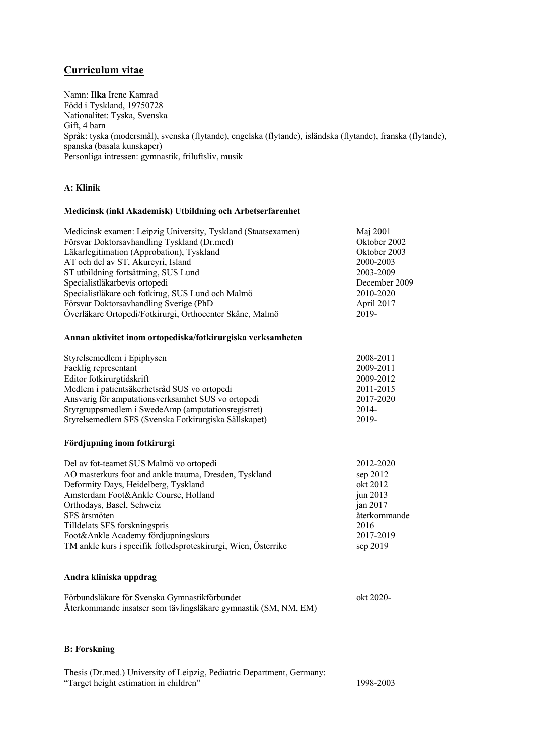# **Curriculum vitae**

Namn: **Ilka** Irene Kamrad Född i Tyskland, 19750728 Nationalitet: Tyska, Svenska Gift, 4 barn Språk: tyska (modersmål), svenska (flytande), engelska (flytande), isländska (flytande), franska (flytande), spanska (basala kunskaper) Personliga intressen: gymnastik, friluftsliv, musik

# **A: Klinik**

# **Medicinsk (inkl Akademisk) Utbildning och Arbetserfarenhet**

| Medicinsk examen: Leipzig University, Tyskland (Staatsexamen) | Maj 2001      |
|---------------------------------------------------------------|---------------|
| Försvar Doktorsavhandling Tyskland (Dr.med)                   | Oktober 2002  |
| Läkarlegitimation (Approbation), Tyskland                     | Oktober 2003  |
| AT och del av ST, Akureyri, Island                            | 2000-2003     |
| ST utbildning fortsättning, SUS Lund                          | 2003-2009     |
| Specialistläkarbevis ortopedi                                 | December 2009 |
| Specialistläkare och fotkirug, SUS Lund och Malmö             | 2010-2020     |
| Försvar Doktorsavhandling Sverige (PhD                        | April 2017    |
| Överläkare Ortopedi/Fotkirurgi, Orthocenter Skåne, Malmö      | 2019-         |

# **Annan aktivitet inom ortopediska/fotkirurgiska verksamheten**

| Styrelsemedlem i Epiphysen                            | 2008-2011 |
|-------------------------------------------------------|-----------|
| Facklig representant                                  | 2009-2011 |
| Editor fotkirurgtidskrift                             | 2009-2012 |
| Medlem i patientsäkerhetsråd SUS vo ortopedi          | 2011-2015 |
| Ansvarig för amputationsverksamhet SUS vo ortopedi    | 2017-2020 |
| Styrgruppsmedlem i SwedeAmp (amputationsregistret)    | 2014-     |
| Styrelsemedlem SFS (Svenska Fotkirurgiska Sällskapet) | 2019-     |

## **Fördjupning inom fotkirurgi**

| Del av fot-teamet SUS Malmö vo ortopedi                        | 2012-2020    |
|----------------------------------------------------------------|--------------|
| AO masterkurs foot and ankle trauma, Dresden, Tyskland         | sep 2012     |
| Deformity Days, Heidelberg, Tyskland                           | okt 2012     |
| Amsterdam Foot&Ankle Course, Holland                           | jun $2013$   |
| Orthodays, Basel, Schweiz                                      | jan $2017$   |
| SFS årsmöten                                                   | återkommande |
| Tilldelats SFS forskningspris                                  | 2016         |
| Foot&Ankle Academy fördjupningskurs                            | 2017-2019    |
| TM ankle kurs i specifik fotledsproteskirurgi, Wien, Österrike | sep $2019$   |

## **Andra kliniska uppdrag**

| Förbundsläkare för Svenska Gymnastikförbundet                   | okt 2020- |
|-----------------------------------------------------------------|-----------|
| Återkommande insatser som tävlingsläkare gymnastik (SM, NM, EM) |           |

## **B: Forskning**

| Thesis (Dr.med.) University of Leipzig, Pediatric Department, Germany: |           |
|------------------------------------------------------------------------|-----------|
| "Target height estimation in children"                                 | 1998-2003 |